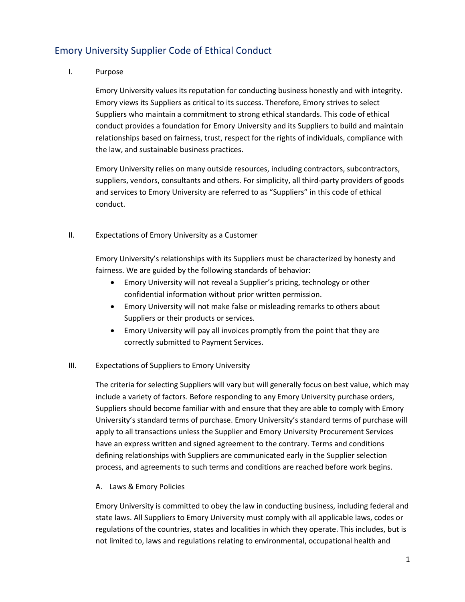# Emory University Supplier Code of Ethical Conduct

## I. Purpose

Emory University values its reputation for conducting business honestly and with integrity. Emory views its Suppliers as critical to its success. Therefore, Emory strives to select Suppliers who maintain a commitment to strong ethical standards. This code of ethical conduct provides a foundation for Emory University and its Suppliers to build and maintain relationships based on fairness, trust, respect for the rights of individuals, compliance with the law, and sustainable business practices.

Emory University relies on many outside resources, including contractors, subcontractors, suppliers, vendors, consultants and others. For simplicity, all third-party providers of goods and services to Emory University are referred to as "Suppliers" in this code of ethical conduct.

## II. Expectations of Emory University as a Customer

Emory University's relationships with its Suppliers must be characterized by honesty and fairness. We are guided by the following standards of behavior:

- Emory University will not reveal a Supplier's pricing, technology or other confidential information without prior written permission.
- Emory University will not make false or misleading remarks to others about Suppliers or their products or services.
- Emory University will pay all invoices promptly from the point that they are correctly submitted to Payment Services.

# III. Expectations of Suppliers to Emory University

The criteria for selecting Suppliers will vary but will generally focus on best value, which may include a variety of factors. Before responding to any Emory University purchase orders, Suppliers should become familiar with and ensure that they are able to comply with Emory University's standard terms of purchase. Emory University's standard terms of purchase will apply to all transactions unless the Supplier and Emory University Procurement Services have an express written and signed agreement to the contrary. Terms and conditions defining relationships with Suppliers are communicated early in the Supplier selection process, and agreements to such terms and conditions are reached before work begins.

## A. Laws & Emory Policies

Emory University is committed to obey the law in conducting business, including federal and state laws. All Suppliers to Emory University must comply with all applicable laws, codes or regulations of the countries, states and localities in which they operate. This includes, but is not limited to, laws and regulations relating to environmental, occupational health and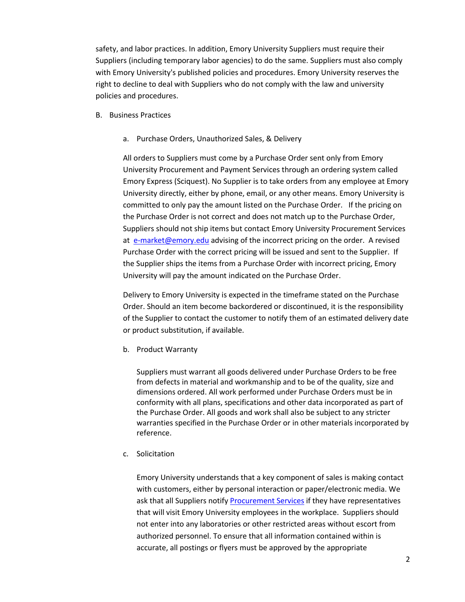safety, and labor practices. In addition, Emory University Suppliers must require their Suppliers (including temporary labor agencies) to do the same. Suppliers must also comply with Emory University's published policies and procedures. Emory University reserves the right to decline to deal with Suppliers who do not comply with the law and university policies and procedures.

- B. Business Practices
	- a. Purchase Orders, Unauthorized Sales, & Delivery

All orders to Suppliers must come by a Purchase Order sent only from Emory University Procurement and Payment Services through an ordering system called Emory Express (Sciquest). No Supplier is to take orders from any employee at Emory University directly, either by phone, email, or any other means. Emory University is committed to only pay the amount listed on the Purchase Order. If the pricing on the Purchase Order is not correct and does not match up to the Purchase Order, Suppliers should not ship items but contact Emory University Procurement Services at [e-market@emory.edu](mailto:e-market@emory.edu) advising of the incorrect pricing on the order. A revised Purchase Order with the correct pricing will be issued and sent to the Supplier. If the Supplier ships the items from a Purchase Order with incorrect pricing, Emory University will pay the amount indicated on the Purchase Order.

Delivery to Emory University is expected in the timeframe stated on the Purchase Order. Should an item become backordered or discontinued, it is the responsibility of the Supplier to contact the customer to notify them of an estimated delivery date or product substitution, if available.

b. Product Warranty

Suppliers must warrant all goods delivered under Purchase Orders to be free from defects in material and workmanship and to be of the quality, size and dimensions ordered. All work performed under Purchase Orders must be in conformity with all plans, specifications and other data incorporated as part of the Purchase Order. All goods and work shall also be subject to any stricter warranties specified in the Purchase Order or in other materials incorporated by reference.

c. Solicitation

Emory University understands that a key component of sales is making contact with customers, either by personal interaction or paper/electronic media. We ask that all Suppliers notify [Procurement](https://www.finance.emory.edu/home/Procure%20and%20Pay/Supplier%20Code%20Of%20Ethical%20Conduct.pdf) Services if they have representatives that will visit Emory University employees in the workplace. Suppliers should not enter into any laboratories or other restricted areas without escort from authorized personnel. To ensure that all information contained within is accurate, all postings or flyers must be approved by the appropriate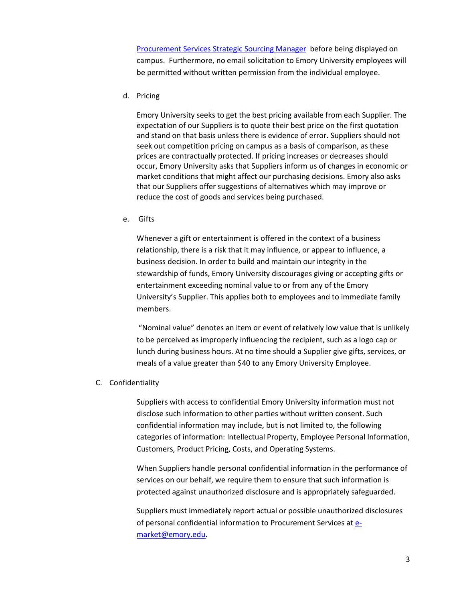[Procurement Services](https://www.finance.emory.edu/home/Procure%20and%20Pay/about_us/contacts.html) Strategic Sourcing Manager before being displayed on campus. Furthermore, no email solicitation to Emory University employees will be permitted without written permission from the individual employee.

d. Pricing

Emory University seeks to get the best pricing available from each Supplier. The expectation of our Suppliers is to quote their best price on the first quotation and stand on that basis unless there is evidence of error. Suppliers should not seek out competition pricing on campus as a basis of comparison, as these prices are contractually protected. If pricing increases or decreases should occur, Emory University asks that Suppliers inform us of changes in economic or market conditions that might affect our purchasing decisions. Emory also asks that our Suppliers offer suggestions of alternatives which may improve or reduce the cost of goods and services being purchased.

e. Gifts

Whenever a gift or entertainment is offered in the context of a business relationship, there is a risk that it may influence, or appear to influence, a business decision. In order to build and maintain our integrity in the stewardship of funds, Emory University discourages giving or accepting gifts or entertainment exceeding nominal value to or from any of the Emory University's Supplier. This applies both to employees and to immediate family members.

"Nominal value" denotes an item or event of relatively low value that is unlikely to be perceived as improperly influencing the recipient, such as a logo cap or lunch during business hours. At no time should a Supplier give gifts, services, or meals of a value greater than \$40 to any Emory University Employee.

C. Confidentiality

Suppliers with access to confidential Emory University information must not disclose such information to other parties without written consent. Such confidential information may include, but is not limited to, the following categories of information: Intellectual Property, Employee Personal Information, Customers, Product Pricing, Costs, and Operating Systems.

When Suppliers handle personal confidential information in the performance of services on our behalf, we require them to ensure that such information is protected against unauthorized disclosure and is appropriately safeguarded.

Suppliers must immediately report actual or possible unauthorized disclosures of personal confidential information to Procurement Services a[t e](mailto:e-market@emory.edu)[market@emory.edu.](mailto:e-market@emory.edu)